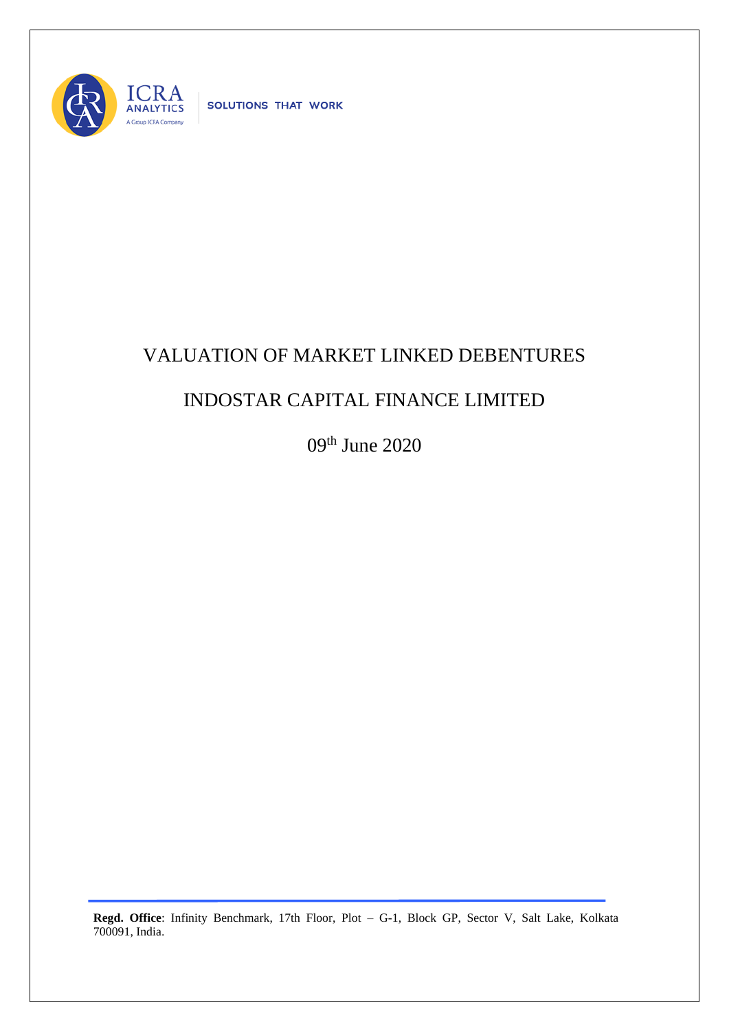

## VALUATION OF MARKET LINKED DEBENTURES

## INDOSTAR CAPITAL FINANCE LIMITED

09<sup>th</sup> June 2020

**Regd. Office**: Infinity Benchmark, 17th Floor, Plot – G-1, Block GP, Sector V, Salt Lake, Kolkata 700091, India.